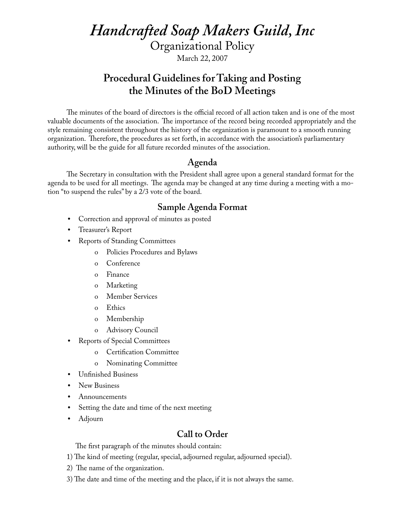*Handcrafted Soap Makers Guild, Inc*

Organizational Policy

March 22, 2007

# **Procedural Guidelines for Taking and Posting the Minutes of the BoD Meetings**

The minutes of the board of directors is the official record of all action taken and is one of the most valuable documents of the association. The importance of the record being recorded appropriately and the style remaining consistent throughout the history of the organization is paramount to a smooth running organization. Therefore, the procedures as set forth, in accordance with the association's parliamentary authority, will be the guide for all future recorded minutes of the association.

#### **Agenda**

The Secretary in consultation with the President shall agree upon a general standard format for the agenda to be used for all meetings. The agenda may be changed at any time during a meeting with a motion "to suspend the rules" by a 2/3 vote of the board.

## **Sample Agenda Format**

- Correction and approval of minutes as posted
- Treasurer's Report
- Reports of Standing Committees
	- o Policies Procedures and Bylaws
	- o Conference
	- o Finance
	- o Marketing
	- o Member Services
	- o Ethics
	- o Membership
	- o Advisory Council
- Reports of Special Committees
	- o Certification Committee
	- o Nominating Committee
- Unfinished Business
- New Business
- Announcements
- Setting the date and time of the next meeting
- Adjourn

## **Call to Order**

The first paragraph of the minutes should contain:

- 1) The kind of meeting (regular, special, adjourned regular, adjourned special).
- 2) The name of the organization.
- 3) The date and time of the meeting and the place, if it is not always the same.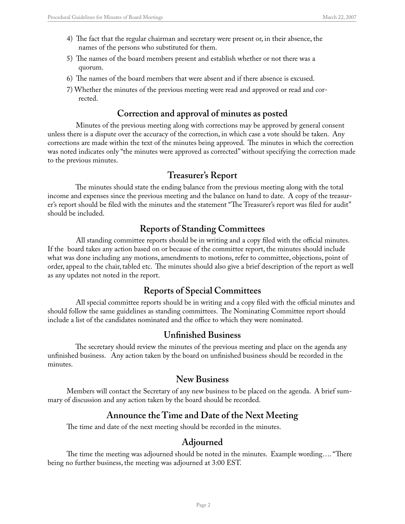- 4) The fact that the regular chairman and secretary were present or, in their absence, the names of the persons who substituted for them.
- 5) The names of the board members present and establish whether or not there was a quorum.
- 6) The names of the board members that were absent and if there absence is excused.
- 7) Whether the minutes of the previous meeting were read and approved or read and corrected.

## **Correction and approval of minutes as posted**

 Minutes of the previous meeting along with corrections may be approved by general consent unless there is a dispute over the accuracy of the correction, in which case a vote should be taken. Any corrections are made within the text of the minutes being approved. The minutes in which the correction was noted indicates only "the minutes were approved as corrected" without specifying the correction made to the previous minutes.

#### **Treasurer's Report**

 The minutes should state the ending balance from the previous meeting along with the total income and expenses since the previous meeting and the balance on hand to date. A copy of the treasurer's report should be filed with the minutes and the statement "The Treasurer's report was filed for audit" should be included.

## **Reports of Standing Committees**

 All standing committee reports should be in writing and a copy filed with the official minutes. If the board takes any action based on or because of the committee report, the minutes should include what was done including any motions, amendments to motions, refer to committee, objections, point of order, appeal to the chair, tabled etc. The minutes should also give a brief description of the report as well as any updates not noted in the report.

## **Reports of Special Committees**

 All special committee reports should be in writing and a copy filed with the official minutes and should follow the same guidelines as standing committees. The Nominating Committee report should include a list of the candidates nominated and the office to which they were nominated.

#### **Unfinished Business**

 The secretary should review the minutes of the previous meeting and place on the agenda any unfinished business. Any action taken by the board on unfinished business should be recorded in the minutes.

#### **New Business**

Members will contact the Secretary of any new business to be placed on the agenda. A brief summary of discussion and any action taken by the board should be recorded.

#### **Announce the Time and Date of the Next Meeting**

The time and date of the next meeting should be recorded in the minutes.

## **Adjourned**

The time the meeting was adjourned should be noted in the minutes. Example wording…. "There being no further business, the meeting was adjourned at 3:00 EST.